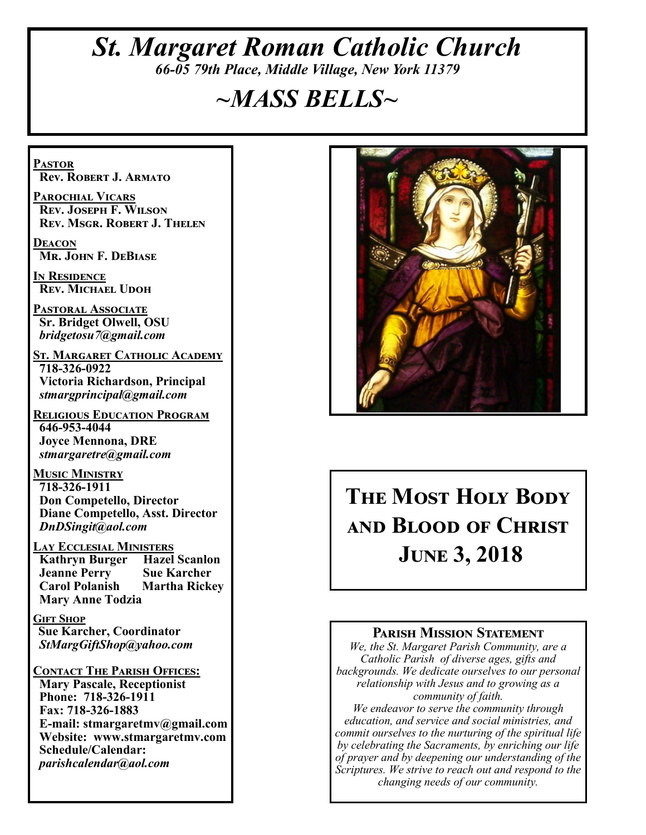# *St. Margaret Roman Catholic Church 66-05 79th Place, Middle Village, New York 11379*

# *~MASS BELLS~*

**Pastor Rev. Robert J. Armato**

**Parochial Vicars Rev. Joseph F. Wilson Rev. Msgr. Robert J. Thelen**

**Deacon Mr. John F. DeBiase** 

**In Residence Rev. Michael Udoh**

**Pastoral Associate Sr. Bridget Olwell, OSU**  *bridgetosu7@gmail.com*

**St. Margaret Catholic Academy 718-326-0922 Victoria Richardson, Principal**  *stmargprincipal@gmail.com*

**Religious Education Program 646-953-4044 Joyce Mennona, DRE** *stmargaretre@gmail.com*

**Music Ministry 718-326-1911 Don Competello, Director Diane Competello, Asst. Director** *DnDSingit@aol.com*

**Lay Ecclesial Ministers Kathryn Burger Jeanne Perry Sue Karcher<br>
Carol Polanish Martha Rickey Carol Polanish Mary Anne Todzia**

**Gift Shop Sue Karcher, Coordinator** *StMargGiftShop@yahoo.com*

**Contact The Parish Offices: Mary Pascale, Receptionist Phone: 718-326-1911 Fax: 718-326-1883 E-mail: stmargaretmv@gmail.com Website: www.stmargaretmv.com Schedule/Calendar:** *parishcalendar@aol.com* 



# **The Most Holy Body and Blood of Christ June 3, 2018**

### **Parish Mission Statement**

*We, the St. Margaret Parish Community, are a Catholic Parish of diverse ages, gifts and backgrounds. We dedicate ourselves to our personal relationship with Jesus and to growing as a community of faith.*

*We endeavor to serve the community through education, and service and social ministries, and commit ourselves to the nurturing of the spiritual life by celebrating the Sacraments, by enriching our life of prayer and by deepening our understanding of the Scriptures. We strive to reach out and respond to the changing needs of our community.*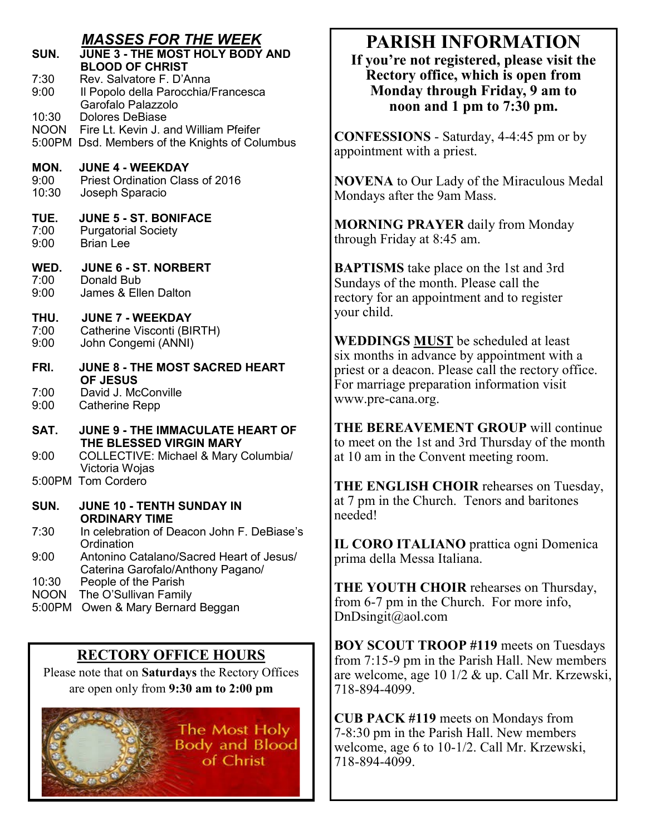### *MASSES FOR THE WEEK*

| SUN.                           | IIIAUUI<br>,,,,,,,,<br>JUNE 3 - THE MOST HOLY BODY AND<br><b>BLOOD OF CHRIST</b>                                       |
|--------------------------------|------------------------------------------------------------------------------------------------------------------------|
| 7:30<br>9:00                   | Rev. Salvatore F. D'Anna<br>Il Popolo della Parocchia/Francesca<br>Garofalo Palazzolo                                  |
| 10:30                          | <b>Dolores DeBiase</b><br>NOON Fire Lt. Kevin J. and William Pfeifer<br>5:00PM Dsd. Members of the Knights of Columbus |
| MON.<br>9:00<br>10:30          | <b>JUNE 4 - WEEKDAY</b><br><b>Priest Ordination Class of 2016</b><br>Joseph Sparacio                                   |
| TUE.<br>7:00<br>9:00           | <b>JUNE 5 - ST. BONIFACE</b><br><b>Purgatorial Society</b><br><b>Brian Lee</b>                                         |
| WED.<br>7:00<br>9:00           | <b>JUNE 6 - ST. NORBERT</b><br>Donald Bub<br>James & Ellen Dalton                                                      |
| THU.<br>7:00<br>9:00           | <b>JUNE 7 - WEEKDAY</b><br>Catherine Visconti (BIRTH)<br>John Congemi (ANNI)                                           |
| FRI.                           | JUNE 8 - THE MOST SACRED HEART<br><b>OF JESUS</b>                                                                      |
| 7:00<br>9:00                   | David J. McConville<br><b>Catherine Repp</b>                                                                           |
| SAT.                           | <b>JUNE 9 - THE IMMACULATE HEART OF</b><br>THE BLESSED VIRGIN MARY                                                     |
| 9:00                           | <b>COLLECTIVE: Michael &amp; Mary Columbia/</b><br>Victoria Wojas                                                      |
|                                | 5:00PM Tom Cordero                                                                                                     |
| SUN.                           | <b>JUNE 10 - TENTH SUNDAY IN</b><br><b>ORDINARY TIME</b>                                                               |
| 7:30                           | In celebration of Deacon John F. DeBiase's<br>Ordination                                                               |
| 9:00                           | Antonino Catalano/Sacred Heart of Jesus/<br>Caterina Garofalo/Anthony Pagano/                                          |
| 10:30<br><b>NOON</b><br>5:00PM | People of the Parish<br>The O'Sullivan Family<br>Owen & Mary Bernard Beggan                                            |

### **RECTORY OFFICE HOURS**

Please note that on **Saturdays** the Rectory Offices are open only from **9:30 am to 2:00 pm**



# **PARISH INFORMATION**

**If you're not registered, please visit the Rectory office, which is open from Monday through Friday, 9 am to noon and 1 pm to 7:30 pm.**

**CONFESSIONS** - Saturday, 4-4:45 pm or by appointment with a priest.

**NOVENA** to Our Lady of the Miraculous Medal Mondays after the 9am Mass.

**MORNING PRAYER** daily from Monday through Friday at 8:45 am.

**BAPTISMS** take place on the 1st and 3rd Sundays of the month. Please call the rectory for an appointment and to register your child.

**WEDDINGS MUST** be scheduled at least six months in advance by appointment with a priest or a deacon. Please call the rectory office. For marriage preparation information visit www.pre-cana.org.

**THE BEREAVEMENT GROUP** will continue to meet on the 1st and 3rd Thursday of the month at 10 am in the Convent meeting room.

**THE ENGLISH CHOIR** rehearses on Tuesday, at 7 pm in the Church. Tenors and baritones needed!

**IL CORO ITALIANO** prattica ogni Domenica prima della Messa Italiana.

**THE YOUTH CHOIR** rehearses on Thursday, from 6-7 pm in the Church. For more info, DnDsingit@aol.com

**BOY SCOUT TROOP #119** meets on Tuesdays from 7:15-9 pm in the Parish Hall. New members are welcome, age 10 1/2 & up. Call Mr. Krzewski, 718-894-4099.

**CUB PACK #119** meets on Mondays from 7-8:30 pm in the Parish Hall. New members welcome, age 6 to 10-1/2. Call Mr. Krzewski, 718-894-4099.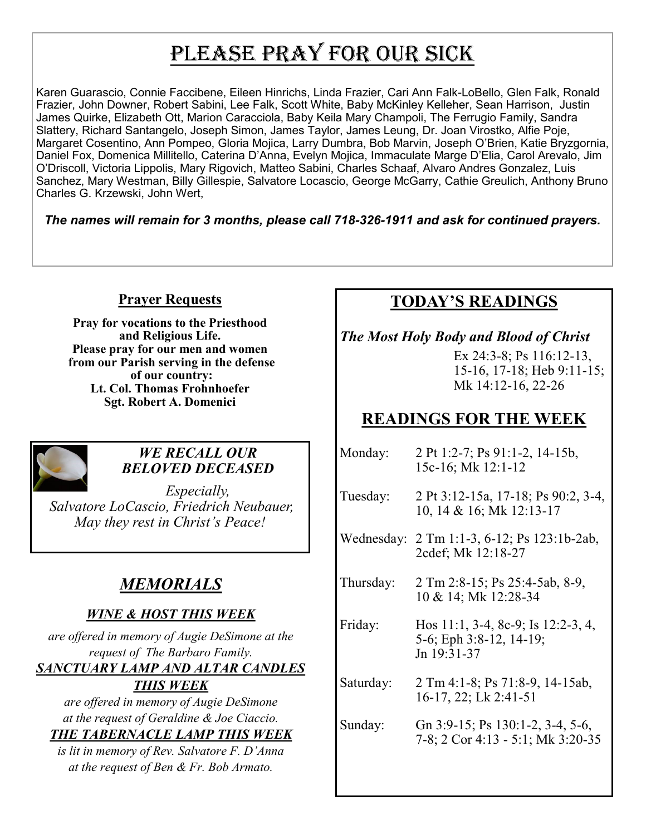# PLEASE PRAY FOR OUR SICK

Karen Guarascio, Connie Faccibene, Eileen Hinrichs, Linda Frazier, Cari Ann Falk-LoBello, Glen Falk, Ronald Frazier, John Downer, Robert Sabini, Lee Falk, Scott White, Baby McKinley Kelleher, Sean Harrison, Justin James Quirke, Elizabeth Ott, Marion Caracciola, Baby Keila Mary Champoli, The Ferrugio Family, Sandra Slattery, Richard Santangelo, Joseph Simon, James Taylor, James Leung, Dr. Joan Virostko, Alfie Poje, Margaret Cosentino, Ann Pompeo, Gloria Mojica, Larry Dumbra, Bob Marvin, Joseph O'Brien, Katie Bryzgornia, Daniel Fox, Domenica Millitello, Caterina D'Anna, Evelyn Mojica, Immaculate Marge D'Elia, Carol Arevalo, Jim O'Driscoll, Victoria Lippolis, Mary Rigovich, Matteo Sabini, Charles Schaaf, Alvaro Andres Gonzalez, Luis Sanchez, Mary Westman, Billy Gillespie, Salvatore Locascio, George McGarry, Cathie Greulich, Anthony Bruno Charles G. Krzewski, John Wert,

*The names will remain for 3 months, please call 718-326-1911 and ask for continued prayers.*

### **Prayer Requests**

**Pray for vocations to the Priesthood and Religious Life. Please pray for our men and women from our Parish serving in the defense of our country: Lt. Col. Thomas Frohnhoefer Sgt. Robert A. Domenici** 



### *WE RECALL OUR BELOVED DECEASED*

*Especially, Salvatore LoCascio, Friedrich Neubauer, May they rest in Christ's Peace!*

# *MEMORIALS*

### *WINE & HOST THIS WEEK*

*are offered in memory of Augie DeSimone at the request of The Barbaro Family.* 

### *SANCTUARY LAMP AND ALTAR CANDLES THIS WEEK*

*are offered in memory of Augie DeSimone at the request of Geraldine & Joe Ciaccio. THE TABERNACLE LAMP THIS WEEK*

*is lit in memory of Rev. Salvatore F. D'Anna at the request of Ben & Fr. Bob Armato.*

# **TODAY'S READINGS**

### *The Most Holy Body and Blood of Christ*

Ex 24:3-8; Ps 116:12-13. 15-16, 17-18; Heb 9:11-15; Mk 14:12-16, 22-26

# **READINGS FOR THE WEEK**

| Monday:   | 2 Pt 1:2-7; Ps 91:1-2, 14-15b,<br>15c-16; Mk 12:1-12                         |
|-----------|------------------------------------------------------------------------------|
| Tuesday:  | 2 Pt 3:12-15a, 17-18; Ps 90:2, 3-4,<br>10, 14 & 16; Mk 12:13-17              |
|           | Wednesday: 2 Tm 1:1-3, 6-12; Ps 123:1b-2ab,<br>2cdef; Mk 12:18-27            |
| Thursday: | 2 Tm 2:8-15; Ps 25:4-5ab, 8-9,<br>10 & 14; Mk 12:28-34                       |
| Friday:   | Hos 11:1, 3-4, 8c-9; Is 12:2-3, 4,<br>5-6; Eph 3:8-12, 14-19;<br>Jn 19:31-37 |
| Saturday: | 2 Tm 4:1-8; Ps 71:8-9, 14-15ab,<br>$16-17$ , 22; Lk 2:41-51                  |
| Sunday:   | Gn 3:9-15; Ps 130:1-2, 3-4, 5-6,<br>7-8; 2 Cor 4:13 - 5:1; Mk 3:20-35        |
|           |                                                                              |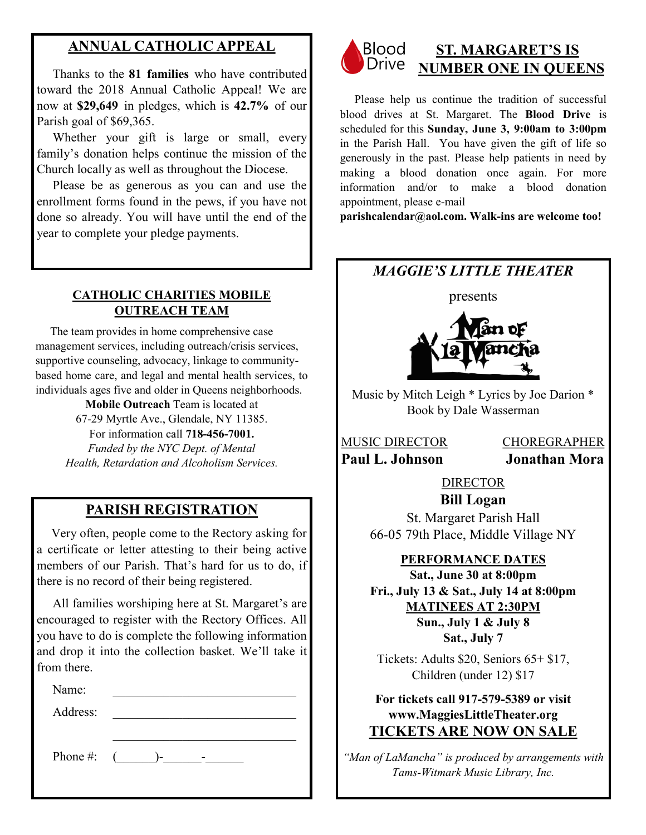### **ANNUAL CATHOLIC APPEAL**

 Thanks to the **81 families** who have contributed toward the 2018 Annual Catholic Appeal! We are now at **\$29,649** in pledges, which is **42.7%** of our Parish goal of \$69,365.

Whether your gift is large or small, every family's donation helps continue the mission of the Church locally as well as throughout the Diocese.

 Please be as generous as you can and use the enrollment forms found in the pews, if you have not done so already. You will have until the end of the year to complete your pledge payments.

### **CATHOLIC CHARITIES MOBILE OUTREACH TEAM**

 The team provides in home comprehensive case management services, including outreach/crisis services, supportive counseling, advocacy, linkage to communitybased home care, and legal and mental health services, to individuals ages five and older in Queens neighborhoods.

> **Mobile Outreach** Team is located at 67-29 Myrtle Ave., Glendale, NY 11385. For information call **718-456-7001.**  *Funded by the NYC Dept. of Mental Health, Retardation and Alcoholism Services.*

# **PARISH REGISTRATION**

 Very often, people come to the Rectory asking for a certificate or letter attesting to their being active members of our Parish. That's hard for us to do, if there is no record of their being registered.

 All families worshiping here at St. Margaret's are encouraged to register with the Rectory Offices. All you have to do is complete the following information and drop it into the collection basket. We'll take it from there.

Name:

Address:

Phone #: (\_\_\_\_\_\_)-\_\_\_\_\_\_-\_\_\_\_\_\_



### **ST. MARGARET'S IS NUMBER ONE IN QUEENS**

 Please help us continue the tradition of successful blood drives at St. Margaret. The **Blood Drive** is scheduled for this **Sunday, June 3, 9:00am to 3:00pm**  in the Parish Hall. You have given the gift of life so generously in the past. Please help patients in need by making a blood donation once again. For more information and/or to make a blood donation appointment, please e-mail

**parishcalendar@aol.com. Walk-ins are welcome too!**

### *MAGGIE'S LITTLE THEATER*



Music by Mitch Leigh \* Lyrics by Joe Darion \* Book by Dale Wasserman

MUSIC DIRECTOR CHOREGRAPHER **Paul L. Johnson Jonathan Mora**

> **DIRECTOR Bill Logan**

St. Margaret Parish Hall 66-05 79th Place, Middle Village NY

### **PERFORMANCE DATES**

**Sat., June 30 at 8:00pm Fri., July 13 & Sat., July 14 at 8:00pm MATINEES AT 2:30PM Sun., July 1 & July 8 Sat., July 7**

Tickets: Adults \$20, Seniors 65+ \$17, Children (under 12) \$17

**For tickets call 917-579-5389 or visit www.MaggiesLittleTheater.org TICKETS ARE NOW ON SALE**

*"Man of LaMancha" is produced by arrangements with Tams-Witmark Music Library, Inc.*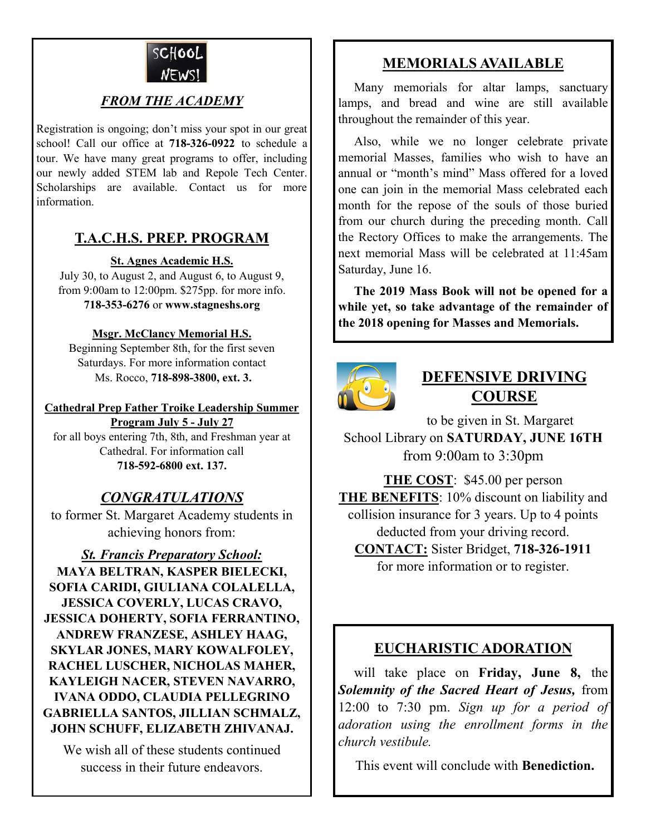

### *FROM THE ACADEMY*

Registration is ongoing; don't miss your spot in our great school! Call our office at **718-326-0922** to schedule a tour. We have many great programs to offer, including our newly added STEM lab and Repole Tech Center. Scholarships are available. Contact us for more information.

### **T.A.C.H.S. PREP. PROGRAM**

### **St. Agnes Academic H.S.**

July 30, to August 2, and August 6, to August 9, from 9:00am to 12:00pm. \$275pp. for more info. **718-353-6276** or **www.stagneshs.org**

### **Msgr. McClancy Memorial H.S.**

Beginning September 8th, for the first seven Saturdays. For more information contact Ms. Rocco, **718-898-3800, ext. 3.**

### **Cathedral Prep Father Troike Leadership Summer**

**Program July 5 - July 27** for all boys entering 7th, 8th, and Freshman year at Cathedral. For information call **718-592-6800 ext. 137.**

### *CONGRATULATIONS*

to former St. Margaret Academy students in achieving honors from:

*St. Francis Preparatory School:* **MAYA BELTRAN, KASPER BIELECKI, SOFIA CARIDI, GIULIANA COLALELLA, JESSICA COVERLY, LUCAS CRAVO, JESSICA DOHERTY, SOFIA FERRANTINO, ANDREW FRANZESE, ASHLEY HAAG, SKYLAR JONES, MARY KOWALFOLEY, RACHEL LUSCHER, NICHOLAS MAHER, KAYLEIGH NACER, STEVEN NAVARRO, IVANA ODDO, CLAUDIA PELLEGRINO GABRIELLA SANTOS, JILLIAN SCHMALZ, JOHN SCHUFF, ELIZABETH ZHIVANAJ.**

We wish all of these students continued success in their future endeavors.

### **MEMORIALS AVAILABLE**

Many memorials for altar lamps, sanctuary lamps, and bread and wine are still available throughout the remainder of this year.

 Also, while we no longer celebrate private memorial Masses, families who wish to have an annual or "month's mind" Mass offered for a loved one can join in the memorial Mass celebrated each month for the repose of the souls of those buried from our church during the preceding month. Call the Rectory Offices to make the arrangements. The next memorial Mass will be celebrated at 11:45am Saturday, June 16.

 **The 2019 Mass Book will not be opened for a while yet, so take advantage of the remainder of the 2018 opening for Masses and Memorials.** 



## **DEFENSIVE DRIVING COURSE**

 to be given in St. Margaret School Library on **SATURDAY, JUNE 16TH** from 9:00am to 3:30pm

**THE COST**: \$45.00 per person **THE BENEFITS**: 10% discount on liability and collision insurance for 3 years. Up to 4 points deducted from your driving record. **CONTACT:** Sister Bridget, **718-326-1911**

for more information or to register.

### **EUCHARISTIC ADORATION**

 will take place on **Friday, June 8,** the *Solemnity of the Sacred Heart of Jesus,* from 12:00 to 7:30 pm. *Sign up for a period of adoration using the enrollment forms in the church vestibule.*

This event will conclude with **Benediction.**